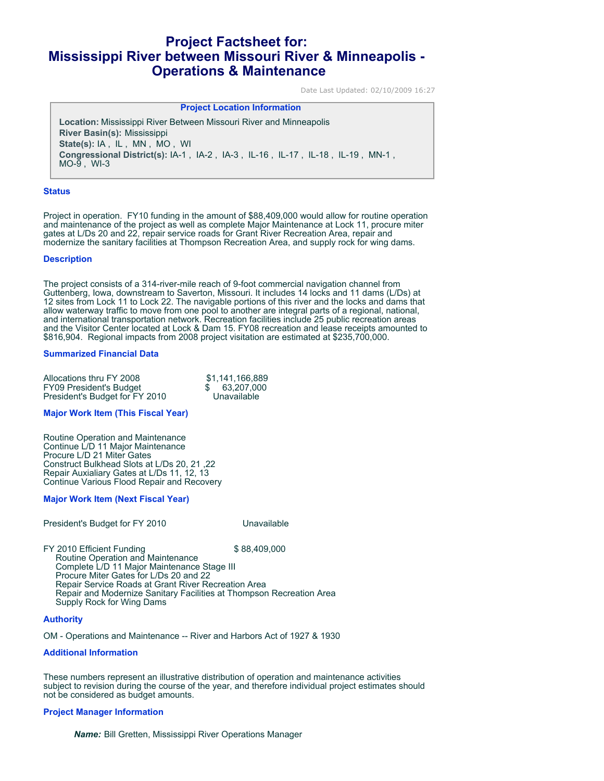# **Project Factsheet for: Mississippi River between Missouri River & Minneapolis - Operations & Maintenance**

Date Last Updated: 02/10/2009 16:27

# **Project Location Information**

**Location:** Mississippi River Between Missouri River and Minneapolis **River Basin(s):** Mississippi **State(s):** IA , IL , MN , MO , WI **Congressional District(s):** IA-1 , IA-2 , IA-3 , IL-16 , IL-17 , IL-18 , IL-19 , MN-1 ,  $MO-9$ , WI-3

### **Status**

Project in operation. FY10 funding in the amount of \$88,409,000 would allow for routine operation and maintenance of the project as well as complete Major Maintenance at Lock 11, procure miter gates at L/Ds 20 and 22, repair service roads for Grant River Recreation Area, repair and modernize the sanitary facilities at Thompson Recreation Area, and supply rock for wing dams.

### **Description**

The project consists of a 314-river-mile reach of 9-foot commercial navigation channel from Guttenberg, Iowa, downstream to Saverton, Missouri. It includes 14 locks and 11 dams (L/Ds) at 12 sites from Lock 11 to Lock 22. The navigable portions of this river and the locks and dams that allow waterway traffic to move from one pool to another are integral parts of a regional, national, and international transportation network. Recreation facilities include 25 public recreation areas and the Visitor Center located at Lock & Dam 15. FY08 recreation and lease receipts amounted to \$816,904. Regional impacts from 2008 project visitation are estimated at \$235,700,000.

# **Summarized Financial Data**

| Allocations thru FY 2008       | \$1.141.166.889 |
|--------------------------------|-----------------|
| <b>FY09 President's Budget</b> | 63.207.000      |
| President's Budget for FY 2010 | Unavailable     |

### **Major Work Item (This Fiscal Year)**

Routine Operation and Maintenance Continue L/D 11 Major Maintenance Procure L/D 21 Miter Gates Construct Bulkhead Slots at L/Ds 20, 21 ,22 Repair Auxialiary Gates at L/Ds 11, 12, 13 Continue Various Flood Repair and Recovery

# **Major Work Item (Next Fiscal Year)**

President's Budget for FY 2010

FY 2010 Efficient Funding  $$88,409,000$  Routine Operation and Maintenance Complete L/D 11 Major Maintenance Stage III Procure Miter Gates for L/Ds 20 and 22 Repair Service Roads at Grant River Recreation Area Repair and Modernize Sanitary Facilities at Thompson Recreation Area Supply Rock for Wing Dams

# **Authority**

OM - Operations and Maintenance -- River and Harbors Act of 1927 & 1930

### **Additional Information**

These numbers represent an illustrative distribution of operation and maintenance activities subject to revision during the course of the year, and therefore individual project estimates should not be considered as budget amounts.

# **Project Manager Information**

*Name:* Bill Gretten, Mississippi River Operations Manager